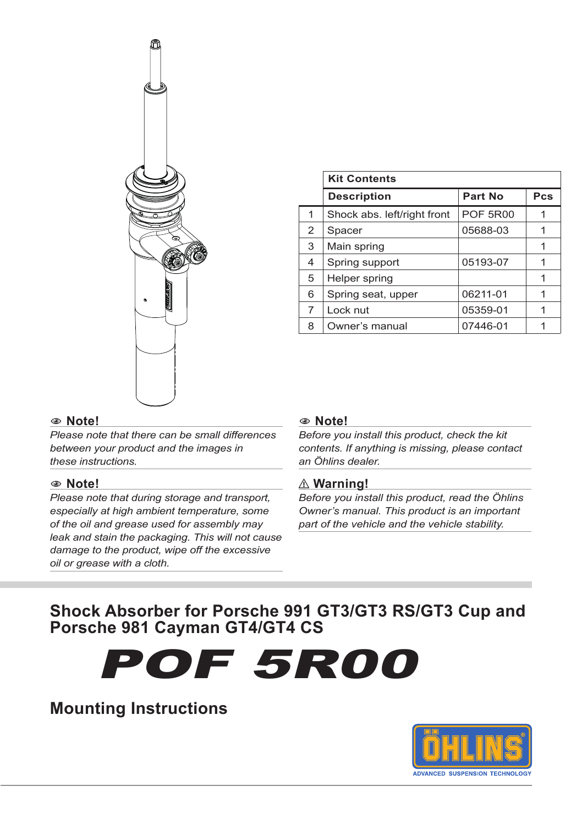

|   | <b>Kit Contents</b>         |                 |     |  |
|---|-----------------------------|-----------------|-----|--|
|   | <b>Description</b>          | <b>Part No</b>  | Pcs |  |
| 1 | Shock abs. left/right front | <b>POF 5R00</b> |     |  |
| 2 | Spacer                      | 05688-03        |     |  |
| 3 | Main spring                 |                 | 1   |  |
| 4 | Spring support              | 05193-07        |     |  |
| 5 | Helper spring               |                 |     |  |
| 6 | Spring seat, upper          | 06211-01        |     |  |
| 7 | Lock nut                    | 05359-01        | 1   |  |
| 8 | Owner's manual              | 07446-01        |     |  |

#### 1 **Note!**

*Please note that there can be small differences between your product and the images in these instructions.*

#### 1 **Note!**

*Please note that during storage and transport, especially at high ambient temperature, some of the oil and grease used for assembly may leak and stain the packaging. This will not cause damage to the product, wipe off the excessive oil or grease with a cloth.*

#### 1 **Note!**

*Before you install this product, check the kit contents. If anything is missing, please contact an Öhlins dealer.*

#### ⚠ **Warning!**

*Before you install this product, read the Öhlins Owner's manual. This product is an important part of the vehicle and the vehicle stability.*

#### **Shock Absorber for Porsche 991 GT3/GT3 RS/GT3 Cup and Porsche 981 Cayman GT4/GT4 CS**

POF 5R00

#### **Mounting Instructions**

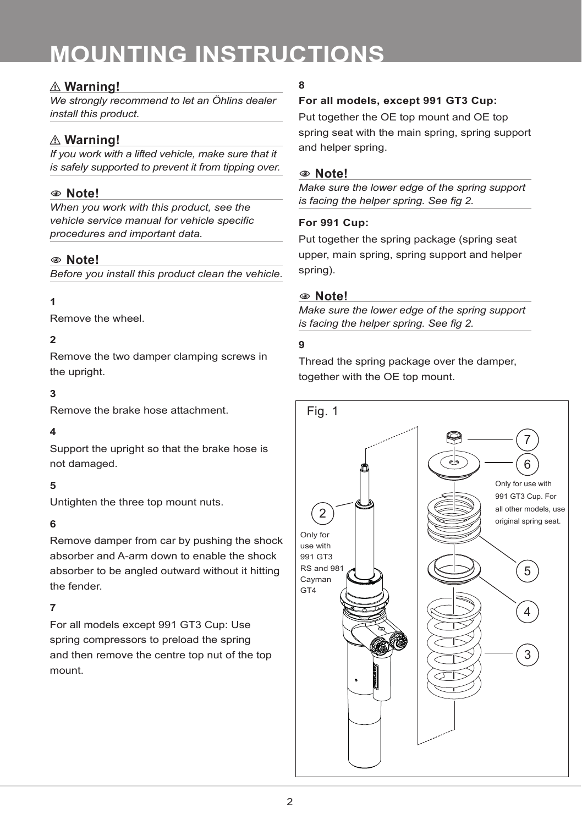#### ⚠ **Warning!**

*We strongly recommend to let an Öhlins dealer install this product.*

#### ⚠ **Warning!**

*If you work with a lifted vehicle, make sure that it is safely supported to prevent it from tipping over.*

#### 1 **Note!**

*When you work with this product, see the vehicle service manual for vehicle specific procedures and important data.*

#### 1 **Note!**

*Before you install this product clean the vehicle.*

#### **1**

Remove the wheel.

#### **2**

Remove the two damper clamping screws in the upright.

#### **3**

Remove the brake hose attachment.

#### **4**

Support the upright so that the brake hose is not damaged.

#### **5**

Untighten the three top mount nuts.

#### **6**

Remove damper from car by pushing the shock absorber and A-arm down to enable the shock absorber to be angled outward without it hitting the fender.

#### **7**

For all models except 991 GT3 Cup: Use spring compressors to preload the spring and then remove the centre top nut of the top mount.

#### **8**

#### **For all models, except 991 GT3 Cup:**

Put together the OE top mount and OE top spring seat with the main spring, spring support and helper spring.

#### 1 **Note!**

*Make sure the lower edge of the spring support is facing the helper spring. See fig 2.*

#### **For 991 Cup:**

Put together the spring package (spring seat upper, main spring, spring support and helper spring).

#### 1 **Note!**

*Make sure the lower edge of the spring support is facing the helper spring. See fig 2.*

#### **9**

Thread the spring package over the damper, together with the OE top mount.

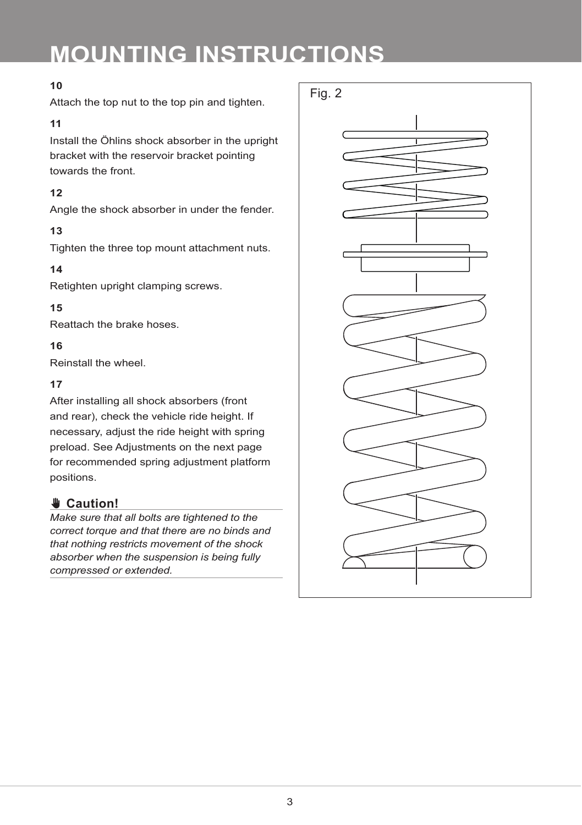#### **10**

Attach the top nut to the top pin and tighten.

#### **11**

Install the Öhlins shock absorber in the upright bracket with the reservoir bracket pointing towards the front.

#### **12**

Angle the shock absorber in under the fender.

#### **13**

Tighten the three top mount attachment nuts.

#### **14**

Retighten upright clamping screws.

#### **15**

Reattach the brake hoses.

#### **16**

Reinstall the wheel.

#### **17**

After installing all shock absorbers (front and rear), check the vehicle ride height. If necessary, adjust the ride height with spring preload. See Adjustments on the next page for recommended spring adjustment platform positions.

#### ✋**✋ Caution!**

*Make sure that all bolts are tightened to the correct torque and that there are no binds and that nothing restricts movement of the shock absorber when the suspension is being fully compressed or extended.*

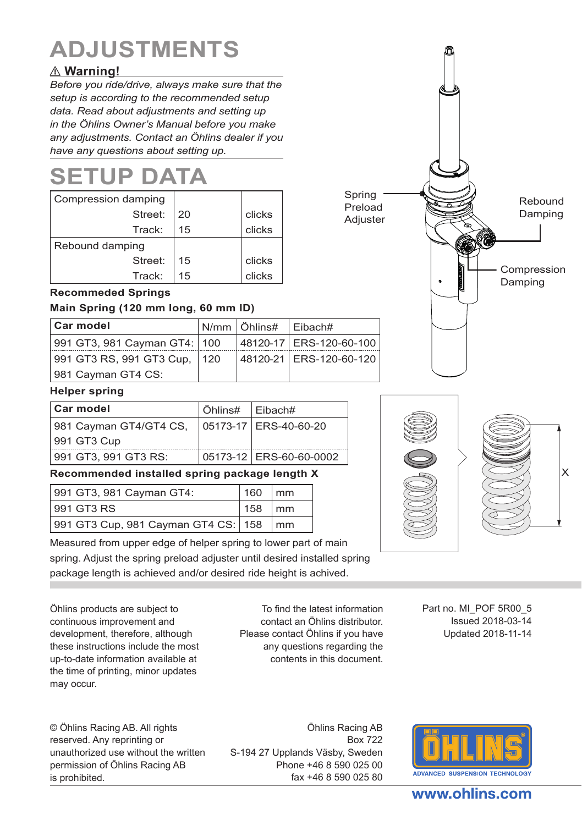### **ADJUSTMENTS**

#### ⚠ **Warning!**

*Before you ride/drive, always make sure that the setup is according to the recommended setup data. Read about adjustments and setting up in the Öhlins Owner's Manual before you make any adjustments. Contact an Öhlins dealer if you have any questions about setting up.*

### **SETUP DATA**

| Compression damping |    |        |
|---------------------|----|--------|
| Street:             | 20 | clicks |
| Track:              | 15 | clicks |
| Rebound damping     |    |        |
| Street:             | 15 | clicks |
| Track:              | 15 | clicks |

#### **Recommeded Springs**

#### **Main Spring (120 mm long, 60 mm ID)**

| <b>Car model</b>             |             | ∣N/mm ∣ Öhlins# | ∣Eibach#                  |
|------------------------------|-------------|-----------------|---------------------------|
| 991 GT3, 981 Cayman GT4: 100 |             |                 | 48120-17 ERS-120-60-100   |
| 991 GT3 RS, 991 GT3 Cup,     | $\vert$ 120 |                 | 48120-21   ERS-120-60-120 |
| 981 Cayman GT4 CS:           |             |                 |                           |

#### **Helper spring**

| Car model              | ∣Öhlins# | ∣Eibach#                  |
|------------------------|----------|---------------------------|
| 981 Cayman GT4/GT4 CS, |          | 05173-17 ERS-40-60-20     |
| 991 GT3 Cup            |          |                           |
| 991 GT3, 991 GT3 RS:   |          | 05173-12   ERS-60-60-0002 |

#### **Recommended installed spring package length X**

| 991 GT3, 981 Cayman GT4:            | 160 | $\mathsf{m}\mathsf{m}$ |
|-------------------------------------|-----|------------------------|
| 991 GT3 RS                          | 158 | $\mathsf{m}\mathsf{m}$ |
| 991 GT3 Cup, 981 Cayman GT4 CS: 158 |     | $\mathsf{m}\mathsf{m}$ |

Measured from upper edge of helper spring to lower part of main spring. Adjust the spring preload adjuster until desired installed spring package length is achieved and/or desired ride height is achived.

Öhlins products are subject to continuous improvement and development, therefore, although these instructions include the most up-to-date information available at the time of printing, minor updates may occur.

To find the latest information contact an Öhlins distributor. Please contact Öhlins if you have any questions regarding the contents in this document.

Part no. MI\_POF 5R00\_5 Issued 2018-03-14 Updated 2018-11-14

© Öhlins Racing AB. All rights reserved. Any reprinting or unauthorized use without the written permission of Öhlins Racing AB is prohibited.

Öhlins Racing AB Box 722 S-194 27 Upplands Väsby, Sweden Phone +46 8 590 025 00 fax +46 8 590 025 80



## Rebound Damping Compression Damping Preload **Adjuster**

Spring





www.ohlins.com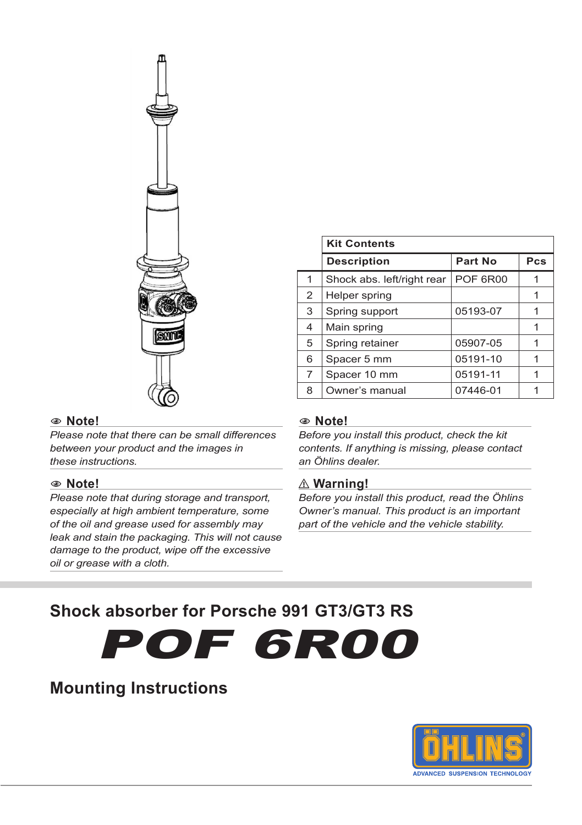

#### 1 **Note!**

*Please note that there can be small differences between your product and the images in these instructions.*

#### 1 **Note!**

*Please note that during storage and transport, especially at high ambient temperature, some of the oil and grease used for assembly may leak and stain the packaging. This will not cause damage to the product, wipe off the excessive oil or grease with a cloth.*

|                | <b>Kit Contents</b>        |                 |     |  |
|----------------|----------------------------|-----------------|-----|--|
|                | <b>Description</b>         | Part No         | Pcs |  |
| 1              | Shock abs. left/right rear | <b>POF 6R00</b> |     |  |
| 2              | Helper spring              |                 |     |  |
| 3              | Spring support             | 05193-07        |     |  |
| 4              | Main spring                |                 |     |  |
| 5              | Spring retainer            | 05907-05        |     |  |
| 6              | Spacer 5 mm                | 05191-10        |     |  |
| $\overline{7}$ | Spacer 10 mm               | 05191-11        |     |  |
| 8              | Owner's manual             | 07446-01        |     |  |

#### 1 **Note!**

*Before you install this product, check the kit contents. If anything is missing, please contact an Öhlins dealer.*

#### ⚠ **Warning!**

*Before you install this product, read the Öhlins Owner's manual. This product is an important part of the vehicle and the vehicle stability.*

#### **Shock absorber for Porsche 991 GT3/GT3 RS**

POF 6R00

#### **Mounting Instructions**

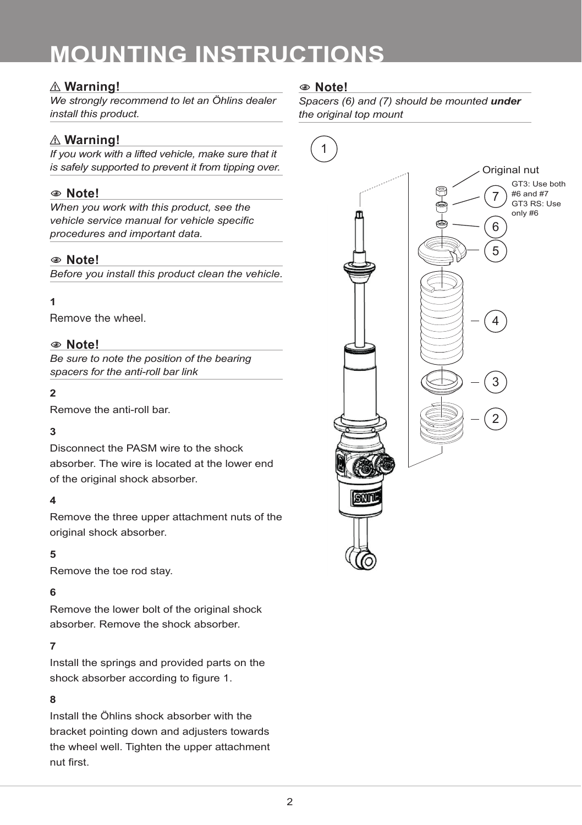#### ⚠ **Warning!**

*We strongly recommend to let an Öhlins dealer install this product.*

#### ⚠ **Warning!**

*If you work with a lifted vehicle, make sure that it is safely supported to prevent it from tipping over.*

#### 1 **Note!**

*When you work with this product, see the vehicle service manual for vehicle specific procedures and important data.*

#### 1 **Note!**

*Before you install this product clean the vehicle.*

#### **1**

Remove the wheel.

#### 1 **Note!**

*Be sure to note the position of the bearing spacers for the anti-roll bar link*

#### **2**

Remove the anti-roll bar.

#### **3**

Disconnect the PASM wire to the shock absorber. The wire is located at the lower end of the original shock absorber.

#### **4**

Remove the three upper attachment nuts of the original shock absorber.

#### **5**

Remove the toe rod stay.

#### **6**

Remove the lower bolt of the original shock absorber. Remove the shock absorber.

#### **7**

Install the springs and provided parts on the shock absorber according to figure 1.

#### **8**

Install the Öhlins shock absorber with the bracket pointing down and adjusters towards the wheel well. Tighten the upper attachment nut first.

#### 1 **Note!**

*Spacers (6) and (7) should be mounted under the original top mount*

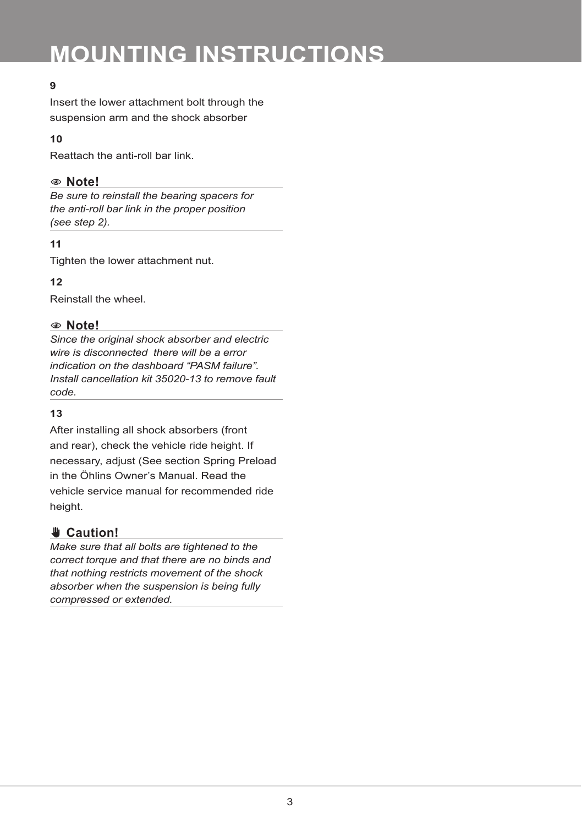#### **9**

Insert the lower attachment bolt through the suspension arm and the shock absorber

#### **10**

Reattach the anti-roll bar link.

#### 1 **Note!**

*Be sure to reinstall the bearing spacers for the anti-roll bar link in the proper position (see step 2).*

#### **11**

Tighten the lower attachment nut.

**12**

Reinstall the wheel.

#### 1 **Note!**

*Since the original shock absorber and electric wire is disconnected there will be a error indication on the dashboard "PASM failure". Install cancellation kit 35020-13 to remove fault code.*

#### **13**

After installing all shock absorbers (front and rear), check the vehicle ride height. If necessary, adjust (See section Spring Preload in the Öhlins Owner's Manual. Read the vehicle service manual for recommended ride height.

#### ✋**✋ Caution!**

*Make sure that all bolts are tightened to the correct torque and that there are no binds and that nothing restricts movement of the shock absorber when the suspension is being fully compressed or extended.*